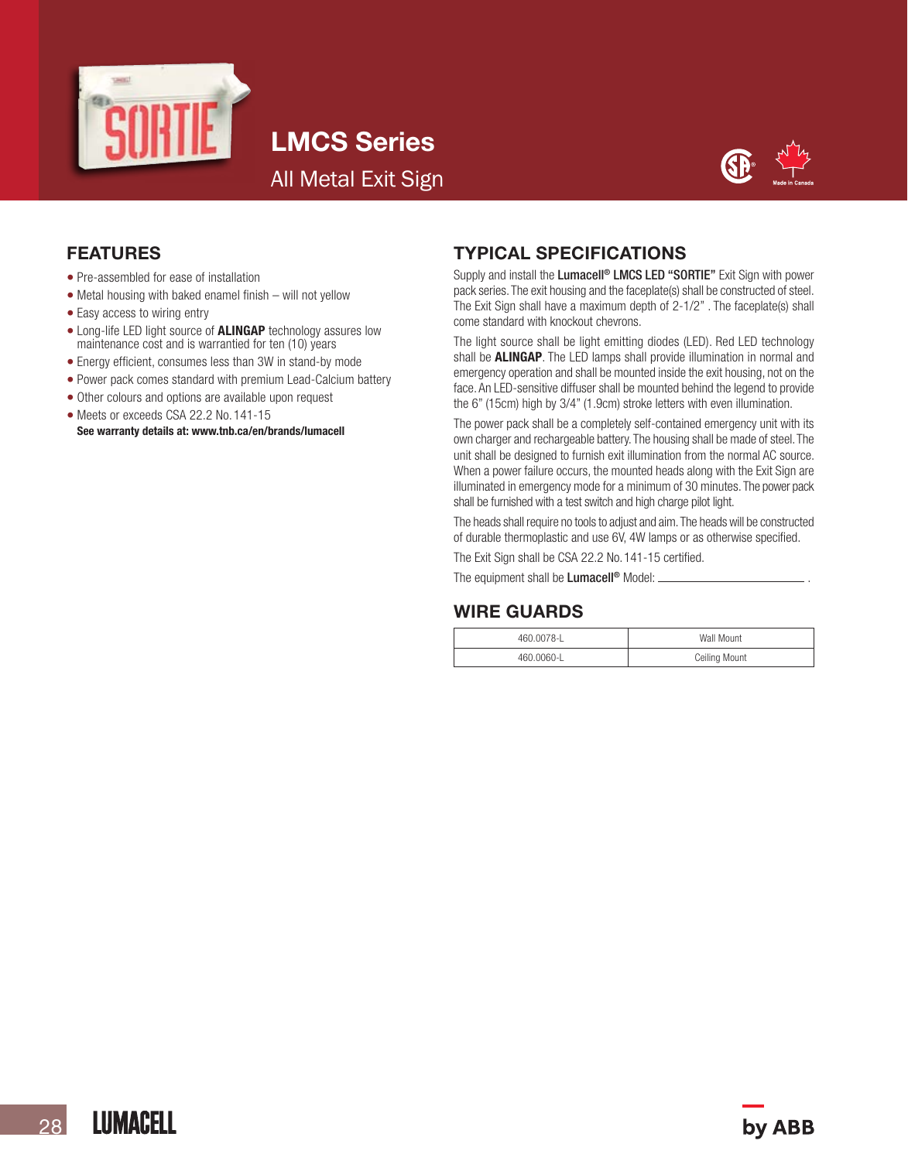

LMCS Series All Metal Exit Sign



### FEATURES

- Pre-assembled for ease of installation
- Metal housing with baked enamel finish will not yellow
- Easy access to wiring entry
- Long-life LED light source of **ALINGAP** technology assures low maintenance cost and is warrantied for ten (10) years
- Energy efficient, consumes less than 3W in stand-by mode
- Power pack comes standard with premium Lead-Calcium battery
- Other colours and options are available upon request
- 
- Meets or exceeds CSA 22.2 No. 141-15<br>See warranty details at: www.tnb.ca/en/brands/lumacell

### TYPICAL SPECIFICATIONS

Supply and install the Lumacell<sup>®</sup> LMCS LED "SORTIE" Exit Sign with power pack series. The exit housing and the faceplate(s) shall be constructed of steel. The Exit Sign shall have a maximum depth of 2-1/2". The faceplate(s) shall come standard with knockout chevrons.

The light source shall be light emitting diodes (LED). Red LED technology shall be **ALINGAP**. The LED lamps shall provide illumination in normal and emergency operation and shall be mounted inside the exit housing, not on the face. An LED-sensitive diffuser shall be mounted behind the legend to provide the 6" (15cm) high by 3/4" (1.9cm) stroke letters with even illumination.

The power pack shall be a completely self-contained emergency unit with its own charger and rechargeable battery.The housing shall be made of steel.The unit shall be designed to furnish exit illumination from the normal AC source. When a power failure occurs, the mounted heads along with the Exit Sign are illuminated in emergency mode for a minimum of 30 minutes. The power pack shall be furnished with a test switch and high charge pilot light.

The heads shall require no tools to adjust and aim.The heads will be constructed of durable thermoplastic and use 6V, 4W lamps or as otherwise specified.

The Exit Sign shall be CSA 22.2 No. 141-15 certified.

The equipment shall be **Lumacell<sup>®</sup>** Model:

### WIRE GUARDS

| 460 0078-1 | Wall Mount           |
|------------|----------------------|
| 460 0060-1 | <b>Ceiling Mount</b> |